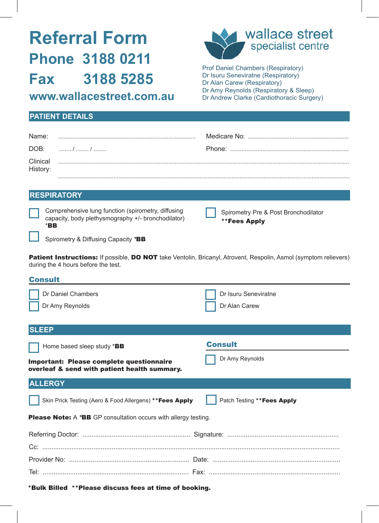# **Referral Form Phone 3188 0211 Fax 3188 5285 www.wallacestreet.com.au**



Prof Daniel Chambers (Respiratory) Dr Isuru Seneviratne (Respiratory) Dr Alan Carew (Respiratory) Dr Amy Reynolds (Respiratory & Sleep) Dr Andrew Clarke (Cardiothoracic Surgery)

## **PATIENT DETAILS**

| Name:                |  |
|----------------------|--|
| DOB:                 |  |
| Clinical<br>History: |  |
|                      |  |

### **RESPIRATORY**

| Comprehensive lung function (spirometry, diffusing |
|----------------------------------------------------|
| capacity, body plethysmography +/- bronchodilator) |
| $*$ BB                                             |

| Spirometry Pre & Post Bronchodilator |  |
|--------------------------------------|--|
| **Fees Apply                         |  |

Spirometry & Diffusing Capacity *\**BB

Patient Instructions: If possible, DO NOT take Ventolin, Bricanyl, Atrovent, Respolin, Asmol (symptom relievers) during the 4 hours before the test.

| <b>Consult</b>                                                                                                 |                                       |  |  |  |
|----------------------------------------------------------------------------------------------------------------|---------------------------------------|--|--|--|
| Dr Daniel Chambers<br>Dr Amy Reynolds                                                                          | Dr Isuru Seneviratne<br>Dr Alan Carew |  |  |  |
|                                                                                                                |                                       |  |  |  |
| <b>SLEEP</b>                                                                                                   |                                       |  |  |  |
| Home based sleep study *BB                                                                                     | <b>Consult</b>                        |  |  |  |
| Important: Please complete questionnaire<br>overleaf & send with patient health summary.                       | Dr Amy Reynolds                       |  |  |  |
| <b>ALLERGY</b>                                                                                                 |                                       |  |  |  |
| Skin Prick Testing (Aero & Food Allergens) ** Fees Apply                                                       | Patch Testing ** Fees Apply           |  |  |  |
| <b>Please Note:</b> A * <b>BB</b> GP consultation occurs with allergy testing.                                 |                                       |  |  |  |
|                                                                                                                |                                       |  |  |  |
|                                                                                                                |                                       |  |  |  |
|                                                                                                                |                                       |  |  |  |
|                                                                                                                |                                       |  |  |  |
| A Marchi (Milliard) - A A Millian and a Marchi and a Carlo and a Carlo and Land and Land and Land and Land and |                                       |  |  |  |

\*Bulk Billed \*\*Please discuss fees at time of booking.